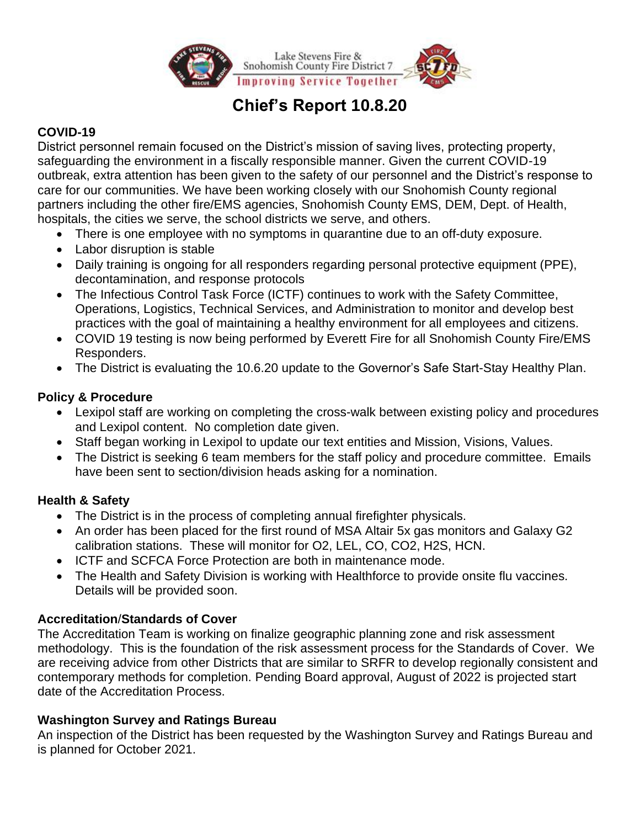

# **Chief's Report 10.8.20**

# **COVID-19**

District personnel remain focused on the District's mission of saving lives, protecting property, safeguarding the environment in a fiscally responsible manner. Given the current COVID-19 outbreak, extra attention has been given to the safety of our personnel and the District's response to care for our communities. We have been working closely with our Snohomish County regional partners including the other fire/EMS agencies, Snohomish County EMS, DEM, Dept. of Health, hospitals, the cities we serve, the school districts we serve, and others.

- There is one employee with no symptoms in quarantine due to an off-duty exposure.
- Labor disruption is stable
- Daily training is ongoing for all responders regarding personal protective equipment (PPE), decontamination, and response protocols
- The Infectious Control Task Force (ICTF) continues to work with the Safety Committee, Operations, Logistics, Technical Services, and Administration to monitor and develop best practices with the goal of maintaining a healthy environment for all employees and citizens.
- COVID 19 testing is now being performed by Everett Fire for all Snohomish County Fire/EMS Responders.
- The District is evaluating the 10.6.20 update to the Governor's Safe Start-Stay Healthy Plan.

## **Policy & Procedure**

- Lexipol staff are working on completing the cross-walk between existing policy and procedures and Lexipol content. No completion date given.
- Staff began working in Lexipol to update our text entities and Mission, Visions, Values.
- The District is seeking 6 team members for the staff policy and procedure committee. Emails have been sent to section/division heads asking for a nomination.

# **Health & Safety**

- The District is in the process of completing annual firefighter physicals.
- An order has been placed for the first round of MSA Altair 5x gas monitors and Galaxy G2 calibration stations. These will monitor for O2, LEL, CO, CO2, H2S, HCN.
- ICTF and SCFCA Force Protection are both in maintenance mode.
- The Health and Safety Division is working with Healthforce to provide onsite flu vaccines. Details will be provided soon.

## **Accreditation**/**Standards of Cover**

The Accreditation Team is working on finalize geographic planning zone and risk assessment methodology. This is the foundation of the risk assessment process for the Standards of Cover. We are receiving advice from other Districts that are similar to SRFR to develop regionally consistent and contemporary methods for completion. Pending Board approval, August of 2022 is projected start date of the Accreditation Process.

# **Washington Survey and Ratings Bureau**

An inspection of the District has been requested by the Washington Survey and Ratings Bureau and is planned for October 2021.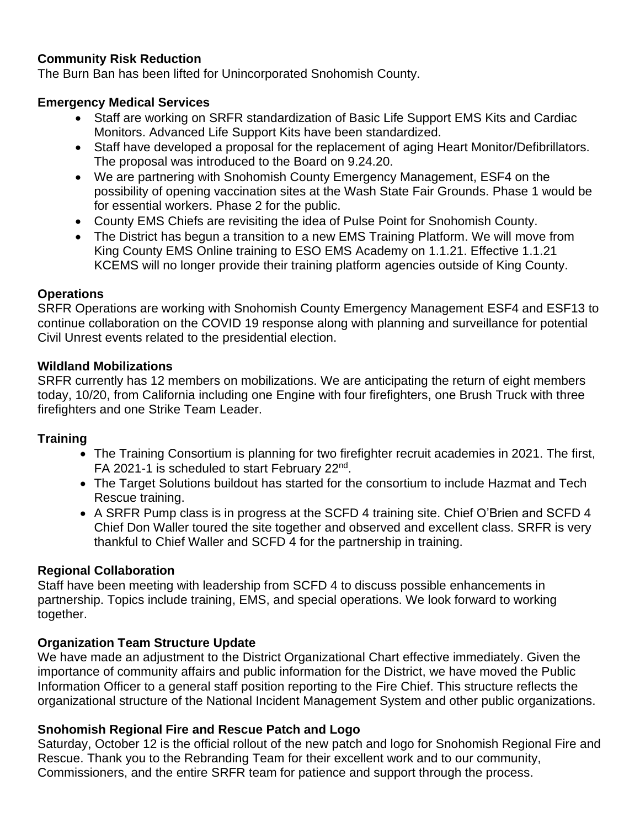## **Community Risk Reduction**

The Burn Ban has been lifted for Unincorporated Snohomish County.

#### **Emergency Medical Services**

- Staff are working on SRFR standardization of Basic Life Support EMS Kits and Cardiac Monitors. Advanced Life Support Kits have been standardized.
- Staff have developed a proposal for the replacement of aging Heart Monitor/Defibrillators. The proposal was introduced to the Board on 9.24.20.
- We are partnering with Snohomish County Emergency Management, ESF4 on the possibility of opening vaccination sites at the Wash State Fair Grounds. Phase 1 would be for essential workers. Phase 2 for the public.
- County EMS Chiefs are revisiting the idea of Pulse Point for Snohomish County.
- The District has begun a transition to a new EMS Training Platform. We will move from King County EMS Online training to ESO EMS Academy on 1.1.21. Effective 1.1.21 KCEMS will no longer provide their training platform agencies outside of King County.

## **Operations**

SRFR Operations are working with Snohomish County Emergency Management ESF4 and ESF13 to continue collaboration on the COVID 19 response along with planning and surveillance for potential Civil Unrest events related to the presidential election.

#### **Wildland Mobilizations**

SRFR currently has 12 members on mobilizations. We are anticipating the return of eight members today, 10/20, from California including one Engine with four firefighters, one Brush Truck with three firefighters and one Strike Team Leader.

## **Training**

- The Training Consortium is planning for two firefighter recruit academies in 2021. The first, FA 2021-1 is scheduled to start February 22<sup>nd</sup>.
- The Target Solutions buildout has started for the consortium to include Hazmat and Tech Rescue training.
- A SRFR Pump class is in progress at the SCFD 4 training site. Chief O'Brien and SCFD 4 Chief Don Waller toured the site together and observed and excellent class. SRFR is very thankful to Chief Waller and SCFD 4 for the partnership in training.

#### **Regional Collaboration**

Staff have been meeting with leadership from SCFD 4 to discuss possible enhancements in partnership. Topics include training, EMS, and special operations. We look forward to working together.

## **Organization Team Structure Update**

We have made an adjustment to the District Organizational Chart effective immediately. Given the importance of community affairs and public information for the District, we have moved the Public Information Officer to a general staff position reporting to the Fire Chief. This structure reflects the organizational structure of the National Incident Management System and other public organizations.

## **Snohomish Regional Fire and Rescue Patch and Logo**

Saturday, October 12 is the official rollout of the new patch and logo for Snohomish Regional Fire and Rescue. Thank you to the Rebranding Team for their excellent work and to our community, Commissioners, and the entire SRFR team for patience and support through the process.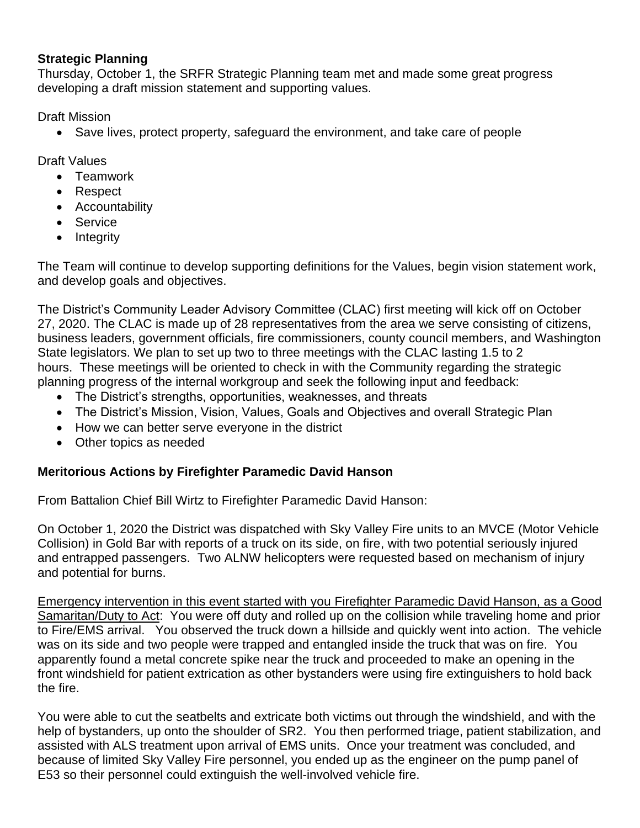## **Strategic Planning**

Thursday, October 1, the SRFR Strategic Planning team met and made some great progress developing a draft mission statement and supporting values.

Draft Mission

• Save lives, protect property, safeguard the environment, and take care of people

Draft Values

- Teamwork
- Respect
- Accountability
- Service
- Integrity

The Team will continue to develop supporting definitions for the Values, begin vision statement work, and develop goals and objectives.

The District's Community Leader Advisory Committee (CLAC) first meeting will kick off on October 27, 2020. The CLAC is made up of 28 representatives from the area we serve consisting of citizens, business leaders, government officials, fire commissioners, county council members, and Washington State legislators. We plan to set up two to three meetings with the CLAC lasting 1.5 to 2 hours. These meetings will be oriented to check in with the Community regarding the strategic planning progress of the internal workgroup and seek the following input and feedback:

- The District's strengths, opportunities, weaknesses, and threats
- The District's Mission, Vision, Values, Goals and Objectives and overall Strategic Plan
- How we can better serve everyone in the district
- Other topics as needed

# **Meritorious Actions by Firefighter Paramedic David Hanson**

From Battalion Chief Bill Wirtz to Firefighter Paramedic David Hanson:

On October 1, 2020 the District was dispatched with Sky Valley Fire units to an MVCE (Motor Vehicle Collision) in Gold Bar with reports of a truck on its side, on fire, with two potential seriously injured and entrapped passengers. Two ALNW helicopters were requested based on mechanism of injury and potential for burns.

Emergency intervention in this event started with you Firefighter Paramedic David Hanson, as a Good Samaritan/Duty to Act: You were off duty and rolled up on the collision while traveling home and prior to Fire/EMS arrival. You observed the truck down a hillside and quickly went into action. The vehicle was on its side and two people were trapped and entangled inside the truck that was on fire. You apparently found a metal concrete spike near the truck and proceeded to make an opening in the front windshield for patient extrication as other bystanders were using fire extinguishers to hold back the fire.

You were able to cut the seatbelts and extricate both victims out through the windshield, and with the help of bystanders, up onto the shoulder of SR2. You then performed triage, patient stabilization, and assisted with ALS treatment upon arrival of EMS units. Once your treatment was concluded, and because of limited Sky Valley Fire personnel, you ended up as the engineer on the pump panel of E53 so their personnel could extinguish the well-involved vehicle fire.